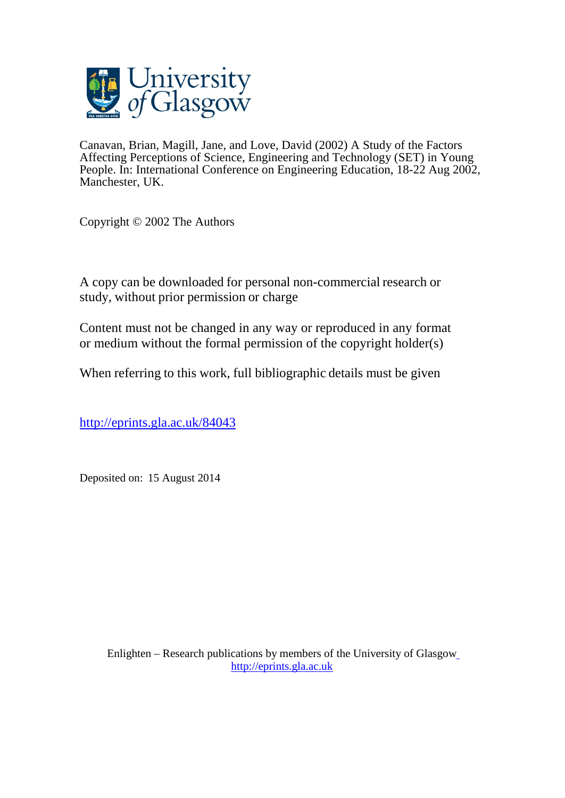

Canavan, Brian, Magill, Jane, and Love, David (2002) A Study of the Factors Affecting Perceptions of Science, Engineering and Technology (SET) in Young People. In: International Conference on Engineering Education, 18-22 Aug 2002, Manchester, UK.

Copyright © 2002 The Authors

A copy can be downloaded for personal non-commercial research or study, without prior permission or charge

Content must not be changed in any way or reproduced in any format or medium without the formal permission of the copyright holder(s)

When referring to this work, full bibliographic details must be given

<http://eprints.gla.ac.uk/84043>

Deposited on: 15 August 2014

Enlighten – Research publications by members of the University of Glasgo[w](http://eprints.gla.ac.uk/) [http://eprints.gla.ac.uk](http://eprints.gla.ac.uk/)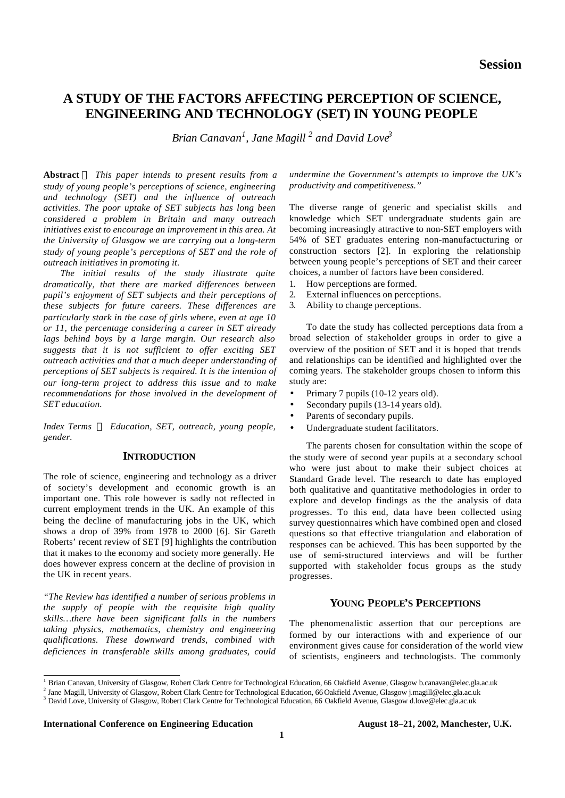# **A STUDY OF THE FACTORS AFFECTING PERCEPTION OF SCIENCE, ENGINEERING AND TECHNOLOGY (SET) IN YOUNG PEOPLE**

*Brian Canavan<sup>1</sup> , Jane Magill <sup>2</sup> and David Love<sup>3</sup>*

**Abstract** *This paper intends to present results from a study of young people's perceptions of science, engineering and technology (SET) and the influence of outreach activities. The poor uptake of SET subjects has long been considered a problem in Britain and many outreach initiatives exist to encourage an improvement in this area. At the University of Glasgow we are carrying out a long-term study of young people's perceptions of SET and the role of outreach initiatives in promoting it.*

*The initial results of the study illustrate quite dramatically, that there are marked differences between pupil's enjoyment of SET subjects and their perceptions of these subjects for future careers. These differences are particularly stark in the case of girls where, even at age 10 or 11, the percentage considering a career in SET already lags behind boys by a large margin. Our research also suggests that it is not sufficient to offer exciting SET outreach activities and that a much deeper understanding of perceptions of SET subjects is required. It is the intention of our long-term project to address this issue and to make recommendations for those involved in the development of SET education.*

*Index Terms ¾ Education, SET, outreach, young people, gender.*

# **INTRODUCTION**

The role of science, engineering and technology as a driver of society's development and economic growth is an important one. This role however is sadly not reflected in current employment trends in the UK. An example of this being the decline of manufacturing jobs in the UK, which shows a drop of 39% from 1978 to 2000 [6]. Sir Gareth Roberts' recent review of SET [9] highlights the contribution that it makes to the economy and society more generally. He does however express concern at the decline of provision in the UK in recent years.

*"The Review has identified a number of serious problems in the supply of people with the requisite high quality skills…there have been significant falls in the numbers taking physics, mathematics, chemistry and engineering qualifications. These downward trends, combined with deficiences in transferable skills among graduates, could*

*undermine the Government's attempts to improve the UK's productivity and competitiveness."*

The diverse range of generic and specialist skills and knowledge which SET undergraduate students gain are becoming increasingly attractive to non-SET employers with 54% of SET graduates entering non-manufactucturing or construction sectors [2]. In exploring the relationship between young people's perceptions of SET and their career choices, a number of factors have been considered.

- 1. How perceptions are formed.
- 2. External influences on perceptions.
- 3. Ability to change perceptions.

To date the study has collected perceptions data from a broad selection of stakeholder groups in order to give a overview of the position of SET and it is hoped that trends and relationships can be identified and highlighted over the coming years. The stakeholder groups chosen to inform this study are:

- Primary 7 pupils (10-12 years old).
- Secondary pupils (13-14 years old).
- Parents of secondary pupils.
- Undergraduate student facilitators.

The parents chosen for consultation within the scope of the study were of second year pupils at a secondary school who were just about to make their subject choices at Standard Grade level. The research to date has employed both qualitative and quantitative methodologies in order to explore and develop findings as the the analysis of data progresses. To this end, data have been collected using survey questionnaires which have combined open and closed questions so that effective triangulation and elaboration of responses can be achieved. This has been supported by the use of semi-structured interviews and will be further supported with stakeholder focus groups as the study progresses.

# **YOUNG PEOPLE'S PERCEPTIONS**

The phenomenalistic assertion that our perceptions are formed by our interactions with and experience of our environment gives cause for consideration of the world view of scientists, engineers and technologists. The commonly

**International Conference on Engineering Education August 18–21, 2002, Manchester, U.K.**

 1 Brian Canavan, University of Glasgow, Robert Clark Centre for Technological Education, 66 Oakfield Avenue, Glasgow b.canavan@elec.gla.ac.uk

<sup>&</sup>lt;sup>2</sup> Jane Magill, University of Glasgow, Robert Clark Centre for Technological Education, 66 Oakfield Avenue, Glasgow j.magill@elec.gla.ac.uk

<sup>&</sup>lt;sup>3</sup> David Love, University of Glasgow, Robert Clark Centre for Technological Education, 66 Oakfield Avenue, Glasgow d.love@elec.gla.ac.uk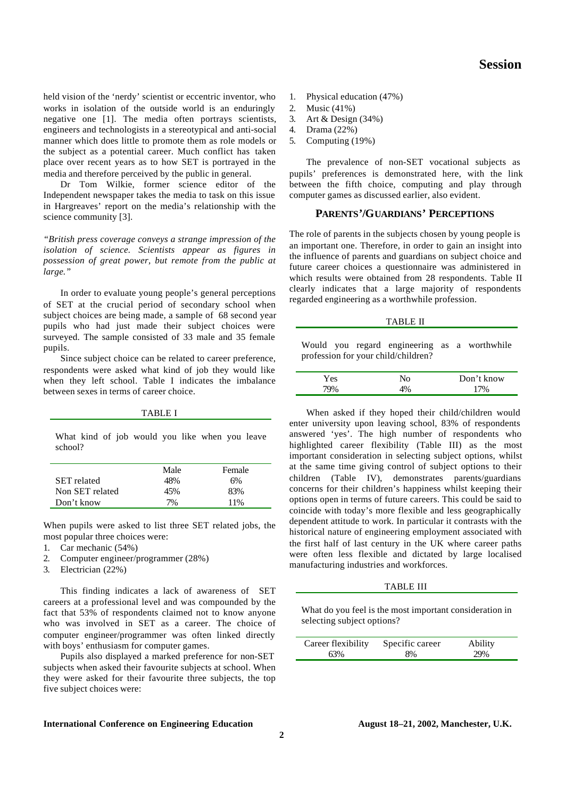**Session**

held vision of the 'nerdy' scientist or eccentric inventor, who works in isolation of the outside world is an enduringly negative one [1]. The media often portrays scientists, engineers and technologists in a stereotypical and anti-social manner which does little to promote them as role models or the subject as a potential career. Much conflict has taken place over recent years as to how SET is portrayed in the media and therefore perceived by the public in general.

Dr Tom Wilkie, former science editor of the Independent newspaper takes the media to task on this issue in Hargreaves' report on the media's relationship with the science community [3].

*"British press coverage conveys a strange impression of the isolation of science. Scientists appear as figures in possession of great power, but remote from the public at large."*

In order to evaluate young people's general perceptions of SET at the crucial period of secondary school when subject choices are being made, a sample of 68 second year pupils who had just made their subject choices were surveyed. The sample consisted of 33 male and 35 female pupils.

Since subject choice can be related to career preference, respondents were asked what kind of job they would like when they left school. Table I indicates the imbalance between sexes in terms of career choice.

TABLE I

What kind of job would you like when you leave school?

|                    | Male | Female |
|--------------------|------|--------|
| <b>SET</b> related | 48%  | 6%     |
| Non SET related    | 45%  | 83%    |
| Don't know         | 7%   | 11%    |

When pupils were asked to list three SET related jobs, the most popular three choices were:

- 1. Car mechanic (54%)
- 2. Computer engineer/programmer (28%)
- 3. Electrician (22%)

This finding indicates a lack of awareness of SET careers at a professional level and was compounded by the fact that 53% of respondents claimed not to know anyone who was involved in SET as a career. The choice of computer engineer/programmer was often linked directly with boys' enthusiasm for computer games.

Pupils also displayed a marked preference for non-SET subjects when asked their favourite subjects at school. When they were asked for their favourite three subjects, the top five subject choices were:

#### **International Conference on Engineering Education August 18–21, 2002, Manchester, U.K.**

- 1. Physical education (47%)
- 2. Music (41%)
- 3. Art & Design (34%)
- 4. Drama (22%)
- 5. Computing (19%)

The prevalence of non-SET vocational subjects as pupils' preferences is demonstrated here, with the link between the fifth choice, computing and play through computer games as discussed earlier, also evident.

# **PARENTS'/GUARDIANS' PERCEPTIONS**

The role of parents in the subjects chosen by young people is an important one. Therefore, in order to gain an insight into the influence of parents and guardians on subject choice and future career choices a questionnaire was administered in which results were obtained from 28 respondents. Table II clearly indicates that a large majority of respondents regarded engineering as a worthwhile profession.

#### TABLE II

Would you regard engineering as a worthwhile profession for your child/children?

| Yes |      | Don't know |
|-----|------|------------|
|     | ، ۱۵ |            |

When asked if they hoped their child/children would enter university upon leaving school, 83% of respondents answered 'yes'. The high number of respondents who highlighted career flexibility (Table III) as the most important consideration in selecting subject options, whilst at the same time giving control of subject options to their children (Table IV), demonstrates parents/guardians concerns for their children's happiness whilst keeping their options open in terms of future careers. This could be said to coincide with today's more flexible and less geographically dependent attitude to work. In particular it contrasts with the historical nature of engineering employment associated with the first half of last century in the UK where career paths were often less flexible and dictated by large localised manufacturing industries and workforces.

#### TABLE III

What do you feel is the most important consideration in selecting subject options?

| Career flexibility | Specific career | Ability |
|--------------------|-----------------|---------|
| 63%                | 8%              | 29%     |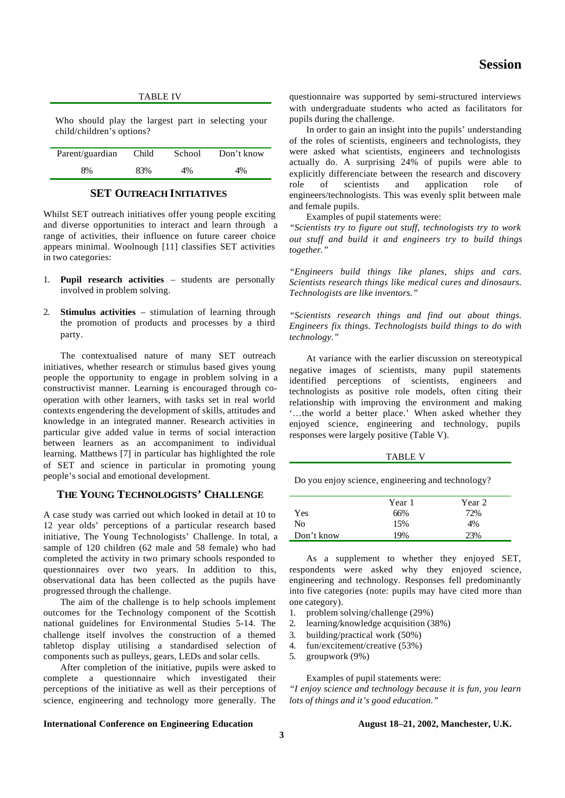| <b>Session</b> |
|----------------|
|                |
|                |

| <b>TABLE IV</b><br>Who should play the largest part in selecting your<br>child/children's options? |       |        | questionnaire wa |                                                                            |
|----------------------------------------------------------------------------------------------------|-------|--------|------------------|----------------------------------------------------------------------------|
|                                                                                                    |       |        |                  | with undergradu<br>pupils during the<br>In order to g<br>of the roles of s |
| Parent/guardian                                                                                    | Child | School | Don't know       | were asked wha                                                             |
| 8%                                                                                                 | 83%   | 4%     | 4%               | actually do. A<br>explicitly differe                                       |

### **SET OUTREACH INITIATIVES**

Whilst SET outreach initiatives offer young people exciting and diverse opportunities to interact and learn through a range of activities, their influence on future career choice appears minimal. Woolnough [11] classifies SET activities in two categories:

- 1. **Pupil research activities** students are personally involved in problem solving.
- 2. **Stimulus activities** stimulation of learning through the promotion of products and processes by a third party.

The contextualised nature of many SET outreach initiatives, whether research or stimulus based gives young people the opportunity to engage in problem solving in a constructivist manner. Learning is encouraged through cooperation with other learners, with tasks set in real world contexts engendering the development of skills, attitudes and knowledge in an integrated manner. Research activities in particular give added value in terms of social interaction between learners as an accompaniment to individual learning. Matthews [7] in particular has highlighted the role of SET and science in particular in promoting young people's social and emotional development.

# **THE YOUNG TECHNOLOGISTS' CHALLENGE**

A case study was carried out which looked in detail at 10 to 12 year olds' perceptions of a particular research based initiative, The Young Technologists' Challenge. In total, a sample of 120 children (62 male and 58 female) who had completed the activity in two primary schools responded to questionnaires over two years. In addition to this, observational data has been collected as the pupils have progressed through the challenge.

The aim of the challenge is to help schools implement outcomes for the Technology component of the Scottish national guidelines for Environmental Studies 5-14. The challenge itself involves the construction of a themed tabletop display utilising a standardised selection of components such as pulleys, gears, LEDs and solar cells.

After completion of the initiative, pupils were asked to complete a questionnaire which investigated their perceptions of the initiative as well as their perceptions of science, engineering and technology more generally. The

as supported by semi-structured interviews ate students who acted as facilitators for challenge.

ain an insight into the pupils' understanding cientists, engineers and technologists, they at scientists, engineers and technologists surprising  $24\%$  of pupils were able to explicitly differenciate between the research and discovery role of scientists and application role of engineers/technologists. This was evenly split between male and female pupils.

Examples of pupil statements were:

*"Scientists try to figure out stuff, technologists try to work out stuff and build it and engineers try to build things together."*

*"Engineers build things like planes, ships and cars. Scientists research things like medical cures and dinosaurs. Technologists are like inventors."*

*"Scientists research things and find out about things. Engineers fix things. Technologists build things to do with technology."*

At variance with the earlier discussion on stereotypical negative images of scientists, many pupil statements identified perceptions of scientists, engineers and technologists as positive role models, often citing their relationship with improving the environment and making '…the world a better place.' When asked whether they enjoyed science, engineering and technology, pupils responses were largely positive (Table V).

TABLE V

Do you enjoy science, engineering and technology?

|            | Year 1 | Year 2 |
|------------|--------|--------|
| Yes        | 66%    | 72%    |
| No         | 15%    | 4%     |
| Don't know | 19%    | 23%    |

As a supplement to whether they enjoyed SET, respondents were asked why they enjoyed science, engineering and technology. Responses fell predominantly into five categories (note: pupils may have cited more than one category).

1. problem solving/challenge (29%)

2. learning/knowledge acquisition (38%)

- 3. building/practical work (50%)
- 4. fun/excitement/creative (53%)
- 5. groupwork (9%)

Examples of pupil statements were:

*"I enjoy science and technology because it is fun, you learn lots of things and it's good education."*

### **International Conference on Engineering Education August 18–21, 2002, Manchester, U.K.**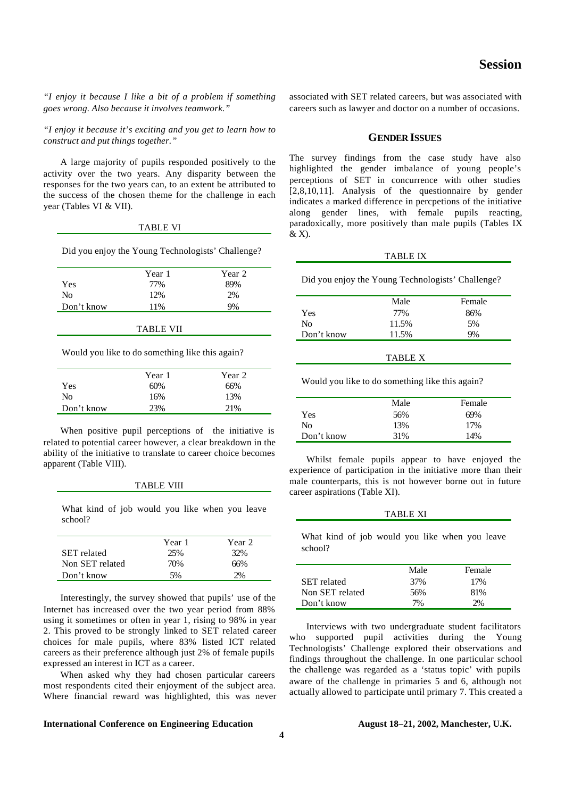*"I enjoy it because I like a bit of a problem if something goes wrong. Also because it involves teamwork."*

*"I enjoy it because it's exciting and you get to learn how to construct and put things together."*

A large majority of pupils responded positively to the activity over the two years. Any disparity between the responses for the two years can, to an extent be attributed to the success of the chosen theme for the challenge in each year (Tables VI & VII).

|                                                   | TABLE VI |        |
|---------------------------------------------------|----------|--------|
| Did you enjoy the Young Technologists' Challenge? |          |        |
|                                                   | Year 1   | Year 2 |
| Yes                                               | 77%      |        |

| вı<br>◟ |  |
|---------|--|
|         |  |

No 12% 2% Don't know 11% 9%

Would you like to do something like this again?

|            | Year 1 | Year 2 |
|------------|--------|--------|
| Yes        | 60%    | 66%    |
| No         | 16%    | 13%    |
| Don't know | 23%    | 21%    |
|            |        |        |

When positive pupil perceptions of the initiative is related to potential career however, a clear breakdown in the ability of the initiative to translate to career choice becomes apparent (Table VIII).

| TABLE VIII |  |
|------------|--|
|------------|--|

What kind of job would you like when you leave school?

|                    | Year 1 | Year 2 |
|--------------------|--------|--------|
| <b>SET</b> related | 25%    | 32%    |
| Non SET related    | 70%    | 66%    |
| Don't know         | 5%     | 2%     |

Interestingly, the survey showed that pupils' use of the Internet has increased over the two year period from 88% using it sometimes or often in year 1, rising to 98% in year 2. This proved to be strongly linked to SET related career choices for male pupils, where 83% listed ICT related careers as their preference although just 2% of female pupils expressed an interest in ICT as a career.

When asked why they had chosen particular careers most respondents cited their enjoyment of the subject area. Where financial reward was highlighted, this was never

**International Conference on Engineering Education August 18–21, 2002, Manchester, U.K.**

**4**

associated with SET related careers, but was associated with careers such as lawyer and doctor on a number of occasions.

#### **GENDER ISSUES**

The survey findings from the case study have also highlighted the gender imbalance of young people's perceptions of SET in concurrence with other studies [2,8,10,11]. Analysis of the questionnaire by gender indicates a marked difference in percpetions of the initiative along gender lines, with female pupils reacting, paradoxically, more positively than male pupils (Tables IX & X).

#### TABLE IX

Did you enjoy the Young Technologists' Challenge?

|            | Male  | Female |
|------------|-------|--------|
| Yes        | 77%   | 86%    |
| No         | 11.5% | 5%     |
| Don't know | 11.5% | 9%     |
|            |       |        |

TABLE X

Would you like to do something like this again?

|            | Male | Female |
|------------|------|--------|
| Yes.       | 56%  | 69%    |
| No         | 13%  | 17%    |
| Don't know | 31%  | 14%    |

Whilst female pupils appear to have enjoyed the experience of participation in the initiative more than their male counterparts, this is not however borne out in future career aspirations (Table XI).

#### TABLE XI

What kind of job would you like when you leave school?

|                    | Male | Female |
|--------------------|------|--------|
| <b>SET</b> related | 37%  | 17%    |
| Non SET related    | 56%  | 81%    |
| Don't know         | 7%   | 2%     |

Interviews with two undergraduate student facilitators who supported pupil activities during the Young Technologists' Challenge explored their observations and findings throughout the challenge. In one particular school the challenge was regarded as a 'status topic' with pupils aware of the challenge in primaries 5 and 6, although not actually allowed to participate until primary 7. This created a